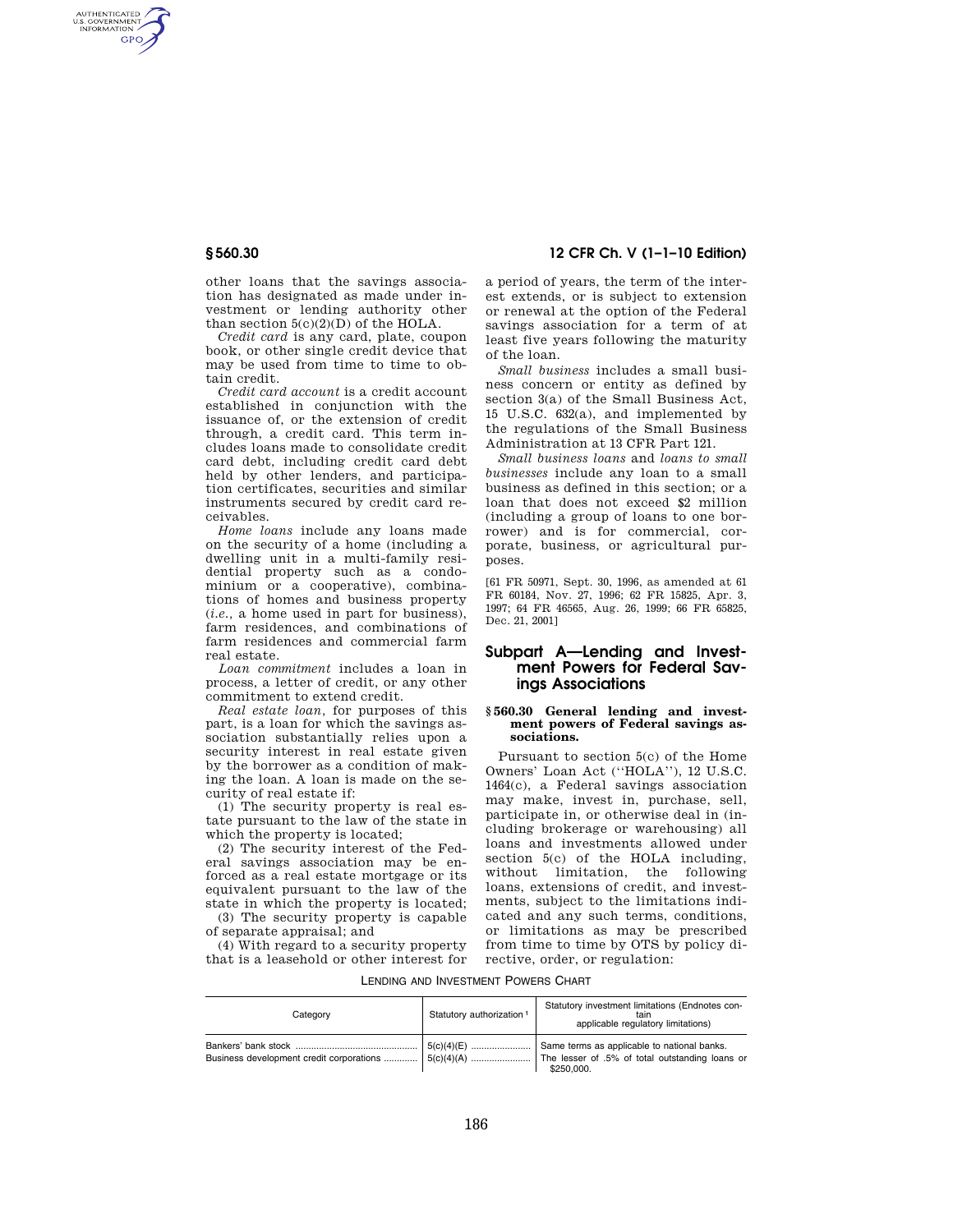AUTHENTICATED<br>U.S. GOVERNMENT<br>INFORMATION GPO

> other loans that the savings association has designated as made under investment or lending authority other than section  $5(c)(2)(D)$  of the HOLA.

> *Credit card* is any card, plate, coupon book, or other single credit device that may be used from time to time to obtain credit.

> *Credit card account* is a credit account established in conjunction with the issuance of, or the extension of credit through, a credit card. This term includes loans made to consolidate credit card debt, including credit card debt held by other lenders, and participation certificates, securities and similar instruments secured by credit card receivables.

> *Home loans* include any loans made on the security of a home (including a dwelling unit in a multi-family residential property such as a condominium or a cooperative), combinations of homes and business property (*i.e.,* a home used in part for business), farm residences, and combinations of farm residences and commercial farm real estate.

*Loan commitment* includes a loan in process, a letter of credit, or any other commitment to extend credit.

*Real estate loan,* for purposes of this part, is a loan for which the savings association substantially relies upon a security interest in real estate given by the borrower as a condition of making the loan. A loan is made on the security of real estate if:

(1) The security property is real estate pursuant to the law of the state in which the property is located;

(2) The security interest of the Federal savings association may be enforced as a real estate mortgage or its equivalent pursuant to the law of the state in which the property is located;

(3) The security property is capable of separate appraisal; and

(4) With regard to a security property that is a leasehold or other interest for

**§ 560.30 12 CFR Ch. V (1–1–10 Edition)** 

a period of years, the term of the interest extends, or is subject to extension or renewal at the option of the Federal savings association for a term of at least five years following the maturity of the loan.

*Small business* includes a small business concern or entity as defined by section 3(a) of the Small Business Act, 15 U.S.C. 632(a), and implemented by the regulations of the Small Business Administration at 13 CFR Part 121.

*Small business loans* and *loans to small businesses* include any loan to a small business as defined in this section; or a loan that does not exceed \$2 million (including a group of loans to one borrower) and is for commercial, corporate, business, or agricultural purposes.

[61 FR 50971, Sept. 30, 1996, as amended at 61 FR 60184, Nov. 27, 1996; 62 FR 15825, Apr. 3, 1997; 64 FR 46565, Aug. 26, 1999; 66 FR 65825, Dec. 21, 2001]

# **Subpart A—Lending and Investment Powers for Federal Savings Associations**

## **§ 560.30 General lending and investment powers of Federal savings associations.**

Pursuant to section 5(c) of the Home Owners' Loan Act (''HOLA''), 12 U.S.C. 1464(c), a Federal savings association may make, invest in, purchase, sell, participate in, or otherwise deal in (including brokerage or warehousing) all loans and investments allowed under section 5(c) of the HOLA including, without limitation, the following loans, extensions of credit, and investments, subject to the limitations indicated and any such terms, conditions, or limitations as may be prescribed from time to time by OTS by policy directive, order, or regulation:

LENDING AND INVESTMENT POWERS CHART

| Category                                 | Statutory authorization <sup>1</sup> | Statutory investment limitations (Endnotes con-<br>tain<br>applicable regulatory limitations)               |
|------------------------------------------|--------------------------------------|-------------------------------------------------------------------------------------------------------------|
| Business development credit corporations | $5(c)(4)(E)$<br>$5(c)(4)(A)$         | Same terms as applicable to national banks.<br>The lesser of .5% of total outstanding loans or<br>\$250,000 |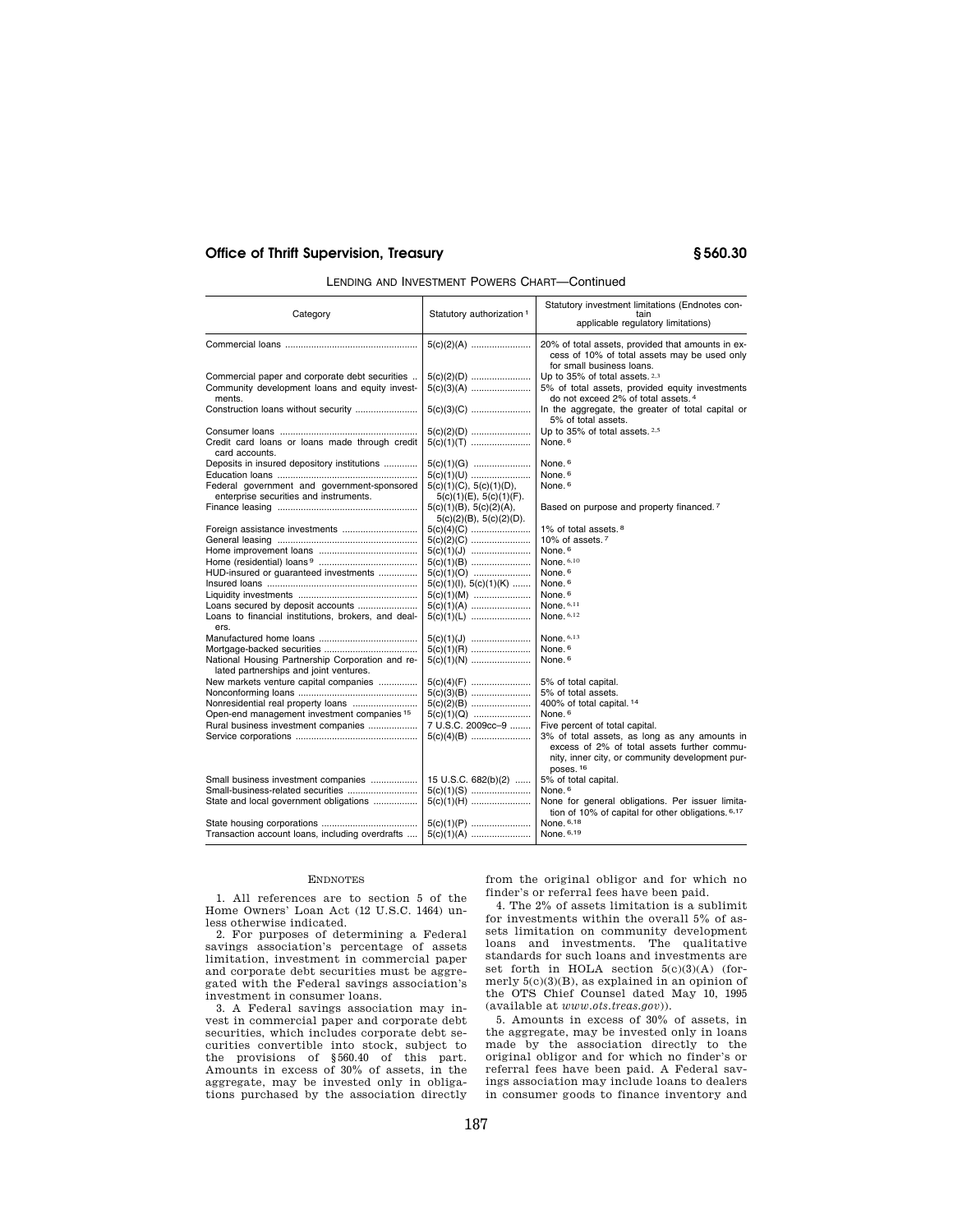## **Office of Thrift Supervision, Treasury § 560.30**

| LENDING AND INVESTMENT POWERS CHART—Continued |  |
|-----------------------------------------------|--|
|-----------------------------------------------|--|

| Category                                                         | Statutory authorization <sup>1</sup>                     | Statutory investment limitations (Endnotes con-<br>tain<br>applicable regulatory limitations)                                  |
|------------------------------------------------------------------|----------------------------------------------------------|--------------------------------------------------------------------------------------------------------------------------------|
|                                                                  |                                                          | 20% of total assets, provided that amounts in ex-<br>cess of 10% of total assets may be used only<br>for small business loans. |
| Commercial paper and corporate debt securities                   | $5(c)(2)(D)$                                             | Up to 35% of total assets. 2,3                                                                                                 |
| Community development loans and equity invest-                   | $5(c)(3)(A)$                                             | 5% of total assets, provided equity investments                                                                                |
| ments.                                                           |                                                          | do not exceed 2% of total assets. 4                                                                                            |
|                                                                  |                                                          | In the aggregate, the greater of total capital or<br>5% of total assets.                                                       |
|                                                                  | $5(c)(2)(D)$                                             | Up to 35% of total assets. 2.5                                                                                                 |
| Credit card loans or loans made through credit<br>card accounts. | $5(c)(1)(T)$                                             | None. <sup>6</sup>                                                                                                             |
| Deposits in insured depository institutions                      | $5(c)(1)(G)$                                             | None. <sup>6</sup>                                                                                                             |
|                                                                  | $5(c)(1)(U)$                                             | None. <sup>6</sup>                                                                                                             |
| Federal government and government-sponsored                      | 5(c)(1)(C), 5(c)(1)(D),                                  | None. <sup>6</sup>                                                                                                             |
| enterprise securities and instruments.                           | $5(c)(1)(E)$ , $5(c)(1)(F)$ .                            |                                                                                                                                |
|                                                                  | 5(c)(1)(B), 5(c)(2)(A),<br>$5(c)(2)(B)$ , $5(c)(2)(D)$ . | Based on purpose and property financed. <sup>7</sup>                                                                           |
|                                                                  | $5(c)(4)(C)$                                             | 1% of total assets. <sup>8</sup>                                                                                               |
|                                                                  |                                                          | 10% of assets. <sup>7</sup>                                                                                                    |
|                                                                  | $5(c)(1)(J)$                                             | None. <sup>6</sup>                                                                                                             |
|                                                                  | $5(c)(1)(B)$                                             | None, 6,10                                                                                                                     |
| HUD-insured or quaranteed investments                            | $5(c)(1)(O)$                                             | None. <sup>6</sup>                                                                                                             |
|                                                                  | $5(c)(1)(1), 5(c)(1)(K)$                                 | None. <sup>6</sup>                                                                                                             |
|                                                                  | $5(c)(1)(M)$                                             | None. <sup>6</sup>                                                                                                             |
| Loans secured by deposit accounts                                | $5(c)(1)(A)$<br>$5(c)(1)(L)$                             | None. $6,11$<br>None, 6,12                                                                                                     |
| Loans to financial institutions, brokers, and deal-<br>ers.      |                                                          |                                                                                                                                |
|                                                                  | $5(c)(1)(J)$                                             | None, 6,13                                                                                                                     |
|                                                                  | $5(c)(1)(R)$                                             | None. <sup>6</sup>                                                                                                             |
| National Housing Partnership Corporation and re-                 | $5(c)(1)(N)$                                             | None. <sup>6</sup>                                                                                                             |
| lated partnerships and joint ventures.                           |                                                          |                                                                                                                                |
| New markets venture capital companies                            | $5(c)(4)(F)$                                             | 5% of total capital.                                                                                                           |
|                                                                  | $5(c)(3)(B)$                                             | 5% of total assets.                                                                                                            |
|                                                                  | $5(c)(2)(B)$                                             | 400% of total capital. <sup>14</sup>                                                                                           |
| Open-end management investment companies 15                      | $5(c)(1)(Q)$                                             | None. <sup>6</sup>                                                                                                             |
| Rural business investment companies                              | 7 U.S.C. 2009cc-9                                        | Five percent of total capital.                                                                                                 |
|                                                                  | $5(c)(4)(B)$                                             | 3% of total assets, as long as any amounts in<br>excess of 2% of total assets further commu-                                   |
|                                                                  |                                                          | nity, inner city, or community development pur-<br>poses. <sup>16</sup>                                                        |
| Small business investment companies                              | 15 U.S.C. 682(b)(2)                                      | 5% of total capital.                                                                                                           |
|                                                                  | $5(c)(1)(S)$                                             | None. <sup>6</sup>                                                                                                             |
| State and local government obligations                           | $5(c)(1)(H)$                                             | None for general obligations. Per issuer limita-<br>tion of 10% of capital for other obligations. 6,17                         |
|                                                                  | $5(c)(1)(P)$                                             | None, 6,18                                                                                                                     |
| Transaction account loans, including overdrafts                  | $5(c)(1)(A)$                                             | None. 6,19                                                                                                                     |

## ENDNOTES

1. All references are to section 5 of the Home Owners' Loan Act (12 U.S.C. 1464) unless otherwise indicated.

2. For purposes of determining a Federal savings association's percentage of assets limitation, investment in commercial paper and corporate debt securities must be aggregated with the Federal savings association's investment in consumer loans.

3. A Federal savings association may invest in commercial paper and corporate debt securities, which includes corporate debt securities convertible into stock, subject to the provisions of §560.40 of this part. Amounts in excess of 30% of assets, in the aggregate, may be invested only in obliga-tions purchased by the association directly from the original obligor and for which no finder's or referral fees have been paid.

4. The 2% of assets limitation is a sublimit for investments within the overall 5% of assets limitation on community development loans and investments. The qualitative standards for such loans and investments are set forth in HOLA section 5(c)(3)(A) (formerly 5(c)(3)(B), as explained in an opinion of the OTS Chief Counsel dated May 10, 1995 (available at *www.ots.treas.gov*)).

5. Amounts in excess of 30% of assets, in the aggregate, may be invested only in loans made by the association directly to the original obligor and for which no finder's or referral fees have been paid. A Federal savings association may include loans to dealers in consumer goods to finance inventory and